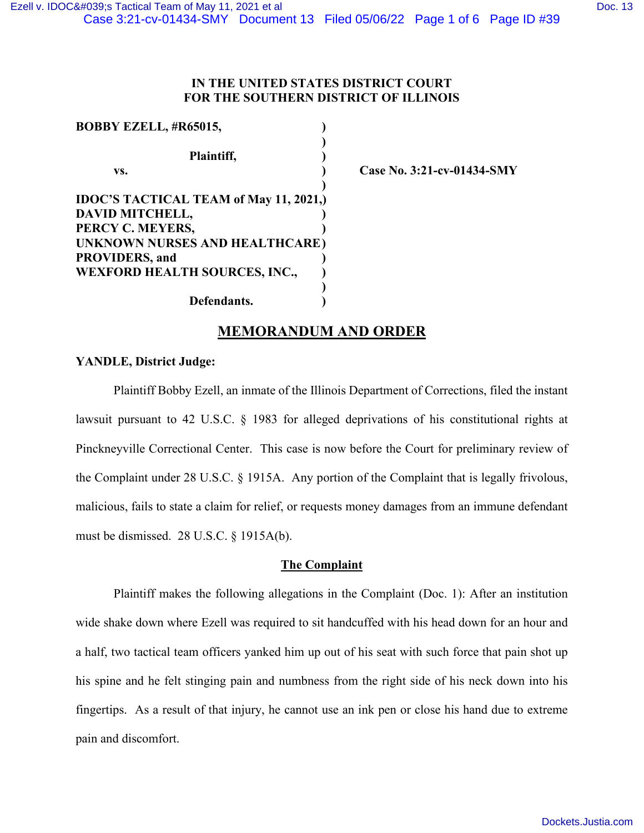## **IN THE UNITED STATES DISTRICT COURT FOR THE SOUTHERN DISTRICT OF ILLINOIS**

| <b>BOBBY EZELL, #R65015,</b>                  |  |
|-----------------------------------------------|--|
|                                               |  |
| Plaintiff,                                    |  |
| VS.                                           |  |
|                                               |  |
| <b>IDOC'S TACTICAL TEAM of May 11, 2021,)</b> |  |
| DAVID MITCHELL,                               |  |
| PERCY C. MEYERS,                              |  |
| UNKNOWN NURSES AND HEALTHCARE)                |  |
| <b>PROVIDERS, and</b>                         |  |
| <b>WEXFORD HEALTH SOURCES, INC.,</b>          |  |
|                                               |  |
| Defendants.                                   |  |

 **vs. ) Case No. 3:21-cv-01434-SMY**

# **MEMORANDUM AND ORDER**

## **YANDLE, District Judge:**

Plaintiff Bobby Ezell, an inmate of the Illinois Department of Corrections, filed the instant lawsuit pursuant to 42 U.S.C. § 1983 for alleged deprivations of his constitutional rights at Pinckneyville Correctional Center. This case is now before the Court for preliminary review of the Complaint under 28 U.S.C. § 1915A. Any portion of the Complaint that is legally frivolous, malicious, fails to state a claim for relief, or requests money damages from an immune defendant must be dismissed. 28 U.S.C. § 1915A(b).

## **The Complaint**

Plaintiff makes the following allegations in the Complaint (Doc. 1): After an institution wide shake down where Ezell was required to sit handcuffed with his head down for an hour and a half, two tactical team officers yanked him up out of his seat with such force that pain shot up his spine and he felt stinging pain and numbness from the right side of his neck down into his fingertips. As a result of that injury, he cannot use an ink pen or close his hand due to extreme pain and discomfort.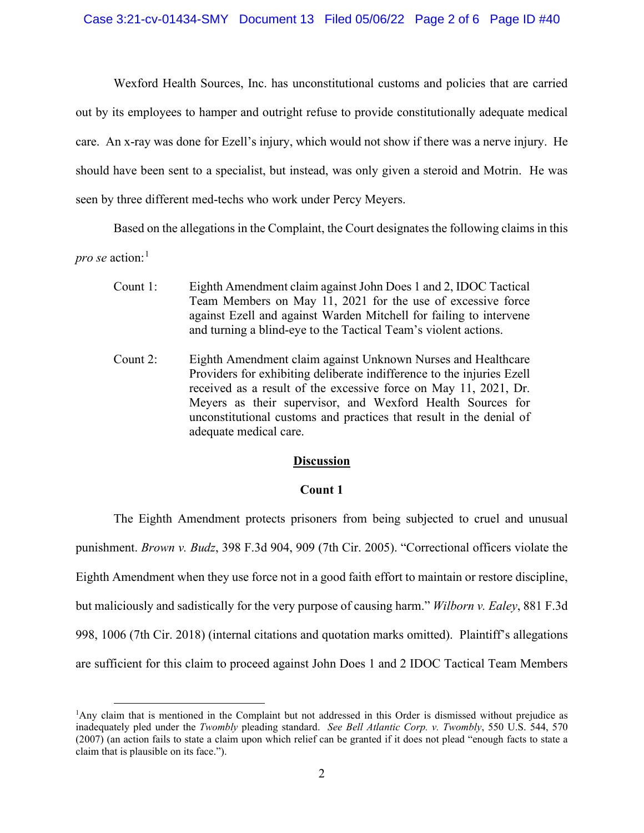Wexford Health Sources, Inc. has unconstitutional customs and policies that are carried out by its employees to hamper and outright refuse to provide constitutionally adequate medical care. An x-ray was done for Ezell's injury, which would not show if there was a nerve injury. He should have been sent to a specialist, but instead, was only given a steroid and Motrin. He was seen by three different med-techs who work under Percy Meyers.

Based on the allegations in the Complaint, the Court designates the following claims in this *pro se* action:<sup>[1](#page-1-0)</sup>

- Count 1: Eighth Amendment claim against John Does 1 and 2, IDOC Tactical Team Members on May 11, 2021 for the use of excessive force against Ezell and against Warden Mitchell for failing to intervene and turning a blind-eye to the Tactical Team's violent actions.
- Count 2: Eighth Amendment claim against Unknown Nurses and Healthcare Providers for exhibiting deliberate indifference to the injuries Ezell received as a result of the excessive force on May 11, 2021, Dr. Meyers as their supervisor, and Wexford Health Sources for unconstitutional customs and practices that result in the denial of adequate medical care.

## **Discussion**

## **Count 1**

The Eighth Amendment protects prisoners from being subjected to cruel and unusual punishment. *Brown v. Budz*, 398 F.3d 904, 909 (7th Cir. 2005). "Correctional officers violate the Eighth Amendment when they use force not in a good faith effort to maintain or restore discipline, but maliciously and sadistically for the very purpose of causing harm." *Wilborn v. Ealey*, 881 F.3d 998, 1006 (7th Cir. 2018) (internal citations and quotation marks omitted). Plaintiff's allegations are sufficient for this claim to proceed against John Does 1 and 2 IDOC Tactical Team Members

<span id="page-1-0"></span><sup>1</sup>Any claim that is mentioned in the Complaint but not addressed in this Order is dismissed without prejudice as inadequately pled under the *Twombly* pleading standard. *See Bell Atlantic Corp. v. Twombly*, 550 U.S. 544, 570 (2007) (an action fails to state a claim upon which relief can be granted if it does not plead "enough facts to state a claim that is plausible on its face.").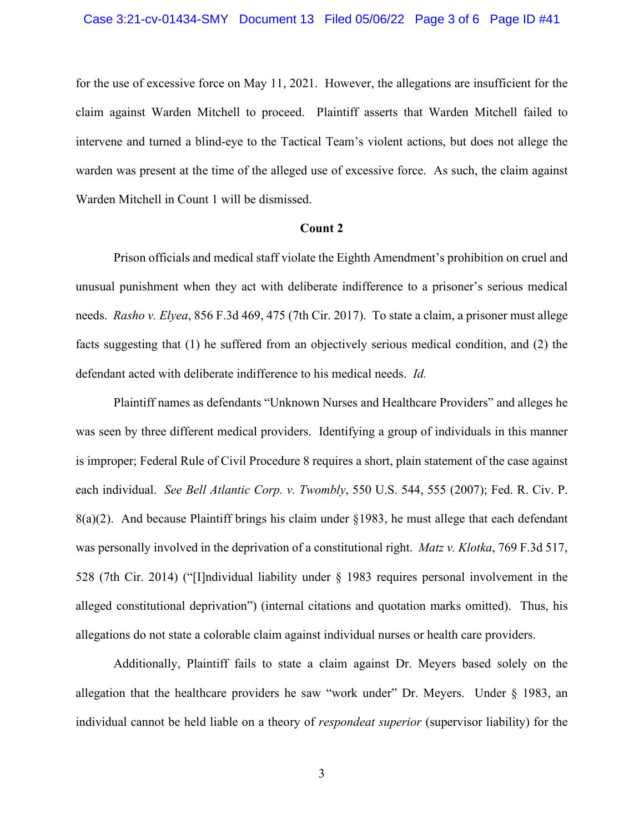for the use of excessive force on May 11, 2021. However, the allegations are insufficient for the claim against Warden Mitchell to proceed. Plaintiff asserts that Warden Mitchell failed to intervene and turned a blind-eye to the Tactical Team's violent actions, but does not allege the warden was present at the time of the alleged use of excessive force. As such, the claim against Warden Mitchell in Count 1 will be dismissed.

#### **Count 2**

Prison officials and medical staff violate the Eighth Amendment's prohibition on cruel and unusual punishment when they act with deliberate indifference to a prisoner's serious medical needs. *Rasho v. Elyea*, 856 F.3d 469, 475 (7th Cir. 2017). To state a claim, a prisoner must allege facts suggesting that (1) he suffered from an objectively serious medical condition, and (2) the defendant acted with deliberate indifference to his medical needs. *Id.*

Plaintiff names as defendants "Unknown Nurses and Healthcare Providers" and alleges he was seen by three different medical providers. Identifying a group of individuals in this manner is improper; Federal Rule of Civil Procedure 8 requires a short, plain statement of the case against each individual. *See Bell Atlantic Corp. v. Twombly*, 550 U.S. 544, 555 (2007); Fed. R. Civ. P.  $8(a)(2)$ . And because Plaintiff brings his claim under §1983, he must allege that each defendant was personally involved in the deprivation of a constitutional right. *Matz v. Klotka*, 769 F.3d 517, 528 (7th Cir. 2014) ("[I]ndividual liability under § 1983 requires personal involvement in the alleged constitutional deprivation") (internal citations and quotation marks omitted). Thus, his allegations do not state a colorable claim against individual nurses or health care providers.

Additionally, Plaintiff fails to state a claim against Dr. Meyers based solely on the allegation that the healthcare providers he saw "work under" Dr. Meyers. Under § 1983, an individual cannot be held liable on a theory of *respondeat superior* (supervisor liability) for the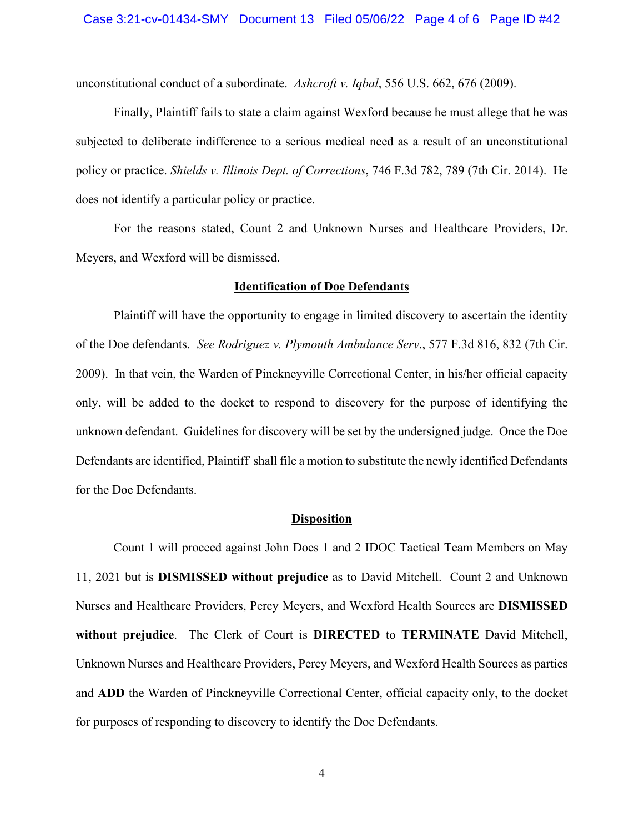unconstitutional conduct of a subordinate. *Ashcroft v. Iqbal*, 556 U.S. 662, 676 (2009).

Finally, Plaintiff fails to state a claim against Wexford because he must allege that he was subjected to deliberate indifference to a serious medical need as a result of an unconstitutional policy or practice. *Shields v. Illinois Dept. of Corrections*, 746 F.3d 782, 789 (7th Cir. 2014). He does not identify a particular policy or practice.

For the reasons stated, Count 2 and Unknown Nurses and Healthcare Providers, Dr. Meyers, and Wexford will be dismissed.

#### **Identification of Doe Defendants**

Plaintiff will have the opportunity to engage in limited discovery to ascertain the identity of the Doe defendants. *See Rodriguez v. Plymouth Ambulance Serv*., 577 F.3d 816, 832 (7th Cir. 2009). In that vein, the Warden of Pinckneyville Correctional Center, in his/her official capacity only, will be added to the docket to respond to discovery for the purpose of identifying the unknown defendant. Guidelines for discovery will be set by the undersigned judge. Once the Doe Defendants are identified, Plaintiff shall file a motion to substitute the newly identified Defendants for the Doe Defendants.

#### **Disposition**

Count 1 will proceed against John Does 1 and 2 IDOC Tactical Team Members on May 11, 2021 but is **DISMISSED without prejudice** as to David Mitchell. Count 2 and Unknown Nurses and Healthcare Providers, Percy Meyers, and Wexford Health Sources are **DISMISSED without prejudice**. The Clerk of Court is **DIRECTED** to **TERMINATE** David Mitchell, Unknown Nurses and Healthcare Providers, Percy Meyers, and Wexford Health Sources as parties and **ADD** the Warden of Pinckneyville Correctional Center, official capacity only, to the docket for purposes of responding to discovery to identify the Doe Defendants.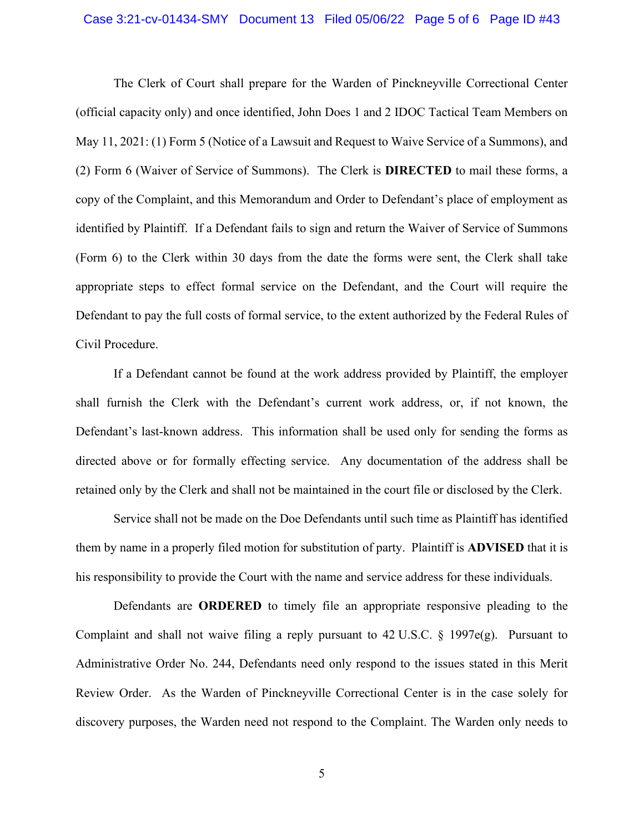#### Case 3:21-cv-01434-SMY Document 13 Filed 05/06/22 Page 5 of 6 Page ID #43

The Clerk of Court shall prepare for the Warden of Pinckneyville Correctional Center (official capacity only) and once identified, John Does 1 and 2 IDOC Tactical Team Members on May 11, 2021: (1) Form 5 (Notice of a Lawsuit and Request to Waive Service of a Summons), and (2) Form 6 (Waiver of Service of Summons). The Clerk is **DIRECTED** to mail these forms, a copy of the Complaint, and this Memorandum and Order to Defendant's place of employment as identified by Plaintiff. If a Defendant fails to sign and return the Waiver of Service of Summons (Form 6) to the Clerk within 30 days from the date the forms were sent, the Clerk shall take appropriate steps to effect formal service on the Defendant, and the Court will require the Defendant to pay the full costs of formal service, to the extent authorized by the Federal Rules of Civil Procedure.

If a Defendant cannot be found at the work address provided by Plaintiff, the employer shall furnish the Clerk with the Defendant's current work address, or, if not known, the Defendant's last-known address. This information shall be used only for sending the forms as directed above or for formally effecting service. Any documentation of the address shall be retained only by the Clerk and shall not be maintained in the court file or disclosed by the Clerk.

Service shall not be made on the Doe Defendants until such time as Plaintiff has identified them by name in a properly filed motion for substitution of party. Plaintiff is **ADVISED** that it is his responsibility to provide the Court with the name and service address for these individuals.

Defendants are **ORDERED** to timely file an appropriate responsive pleading to the Complaint and shall not waive filing a reply pursuant to  $42 \text{ U.S.C. }$  § 1997e(g). Pursuant to Administrative Order No. 244, Defendants need only respond to the issues stated in this Merit Review Order. As the Warden of Pinckneyville Correctional Center is in the case solely for discovery purposes, the Warden need not respond to the Complaint. The Warden only needs to